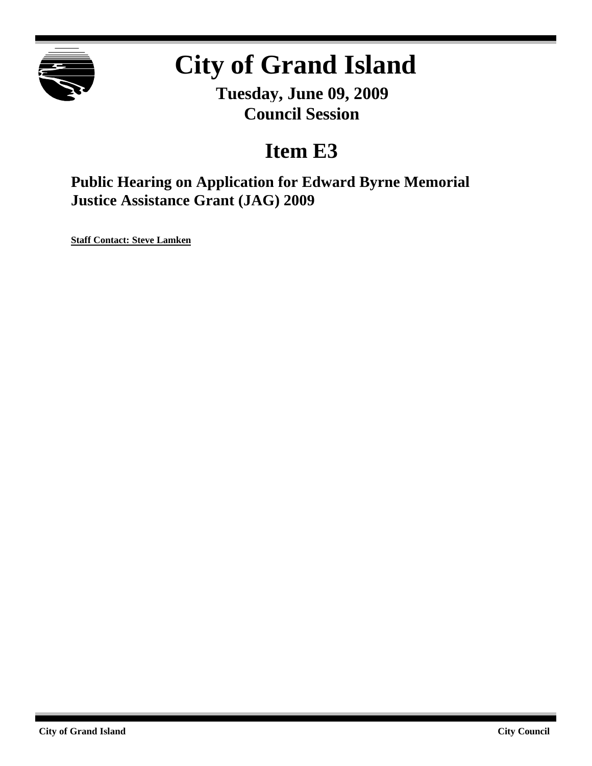

# **City of Grand Island**

**Tuesday, June 09, 2009 Council Session**

# **Item E3**

**Public Hearing on Application for Edward Byrne Memorial Justice Assistance Grant (JAG) 2009**

**Staff Contact: Steve Lamken**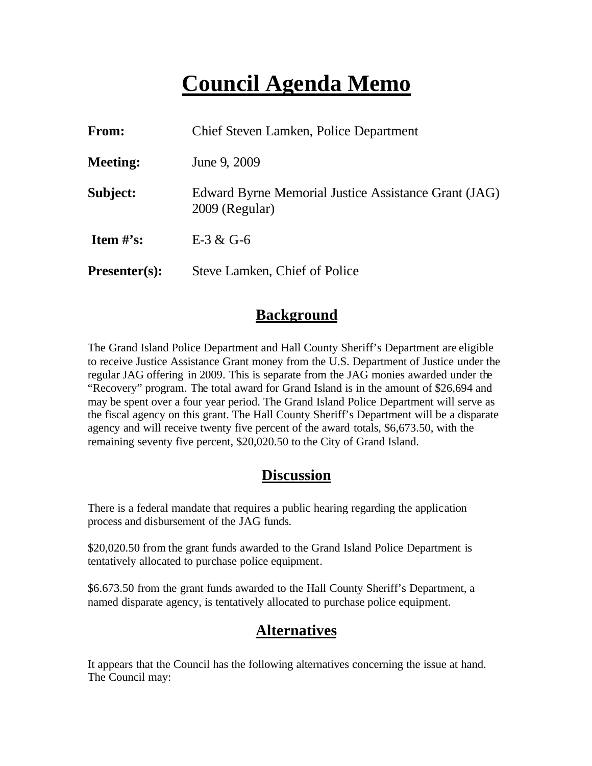# **Council Agenda Memo**

| From:                          | Chief Steven Lamken, Police Department                                 |
|--------------------------------|------------------------------------------------------------------------|
| <b>Meeting:</b>                | June 9, 2009                                                           |
| Subject:                       | Edward Byrne Memorial Justice Assistance Grant (JAG)<br>2009 (Regular) |
| <b>Item <math>\#</math>'s:</b> | $E-3 & G-6$                                                            |
| <b>Presenter(s):</b>           | Steve Lamken, Chief of Police                                          |

# **Background**

The Grand Island Police Department and Hall County Sheriff's Department are eligible to receive Justice Assistance Grant money from the U.S. Department of Justice under the regular JAG offering in 2009. This is separate from the JAG monies awarded under the "Recovery" program. The total award for Grand Island is in the amount of \$26,694 and may be spent over a four year period. The Grand Island Police Department will serve as the fiscal agency on this grant. The Hall County Sheriff's Department will be a disparate agency and will receive twenty five percent of the award totals, \$6,673.50, with the remaining seventy five percent, \$20,020.50 to the City of Grand Island.

# **Discussion**

There is a federal mandate that requires a public hearing regarding the application process and disbursement of the JAG funds.

\$20,020.50 from the grant funds awarded to the Grand Island Police Department is tentatively allocated to purchase police equipment.

\$6.673.50 from the grant funds awarded to the Hall County Sheriff's Department, a named disparate agency, is tentatively allocated to purchase police equipment.

# **Alternatives**

It appears that the Council has the following alternatives concerning the issue at hand. The Council may: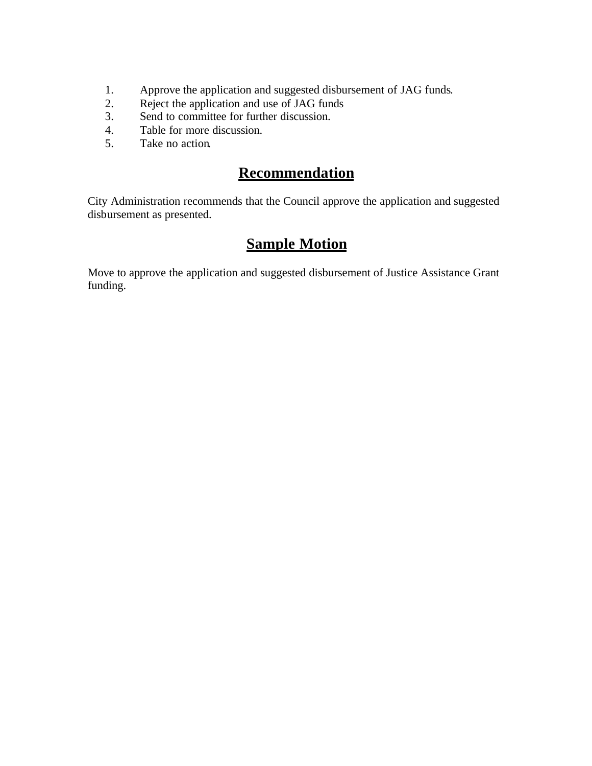- 1. Approve the application and suggested disbursement of JAG funds.
- 2. Reject the application and use of JAG funds
- 3. Send to committee for further discussion.
- 4. Table for more discussion.
- 5. Take no action.

### **Recommendation**

City Administration recommends that the Council approve the application and suggested disbursement as presented.

# **Sample Motion**

Move to approve the application and suggested disbursement of Justice Assistance Grant funding.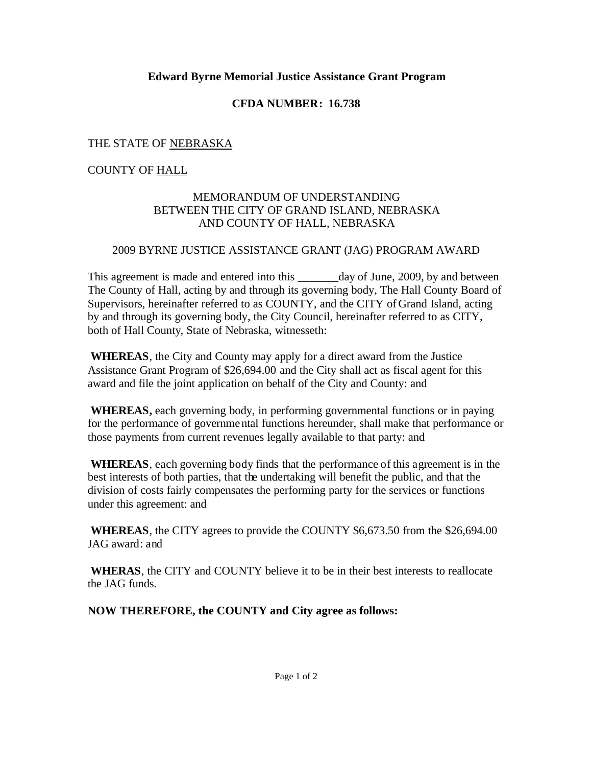#### **Edward Byrne Memorial Justice Assistance Grant Program**

#### **CFDA NUMBER: 16.738**

#### THE STATE OF NEBRASKA

#### COUNTY OF HALL

#### MEMORANDUM OF UNDERSTANDING BETWEEN THE CITY OF GRAND ISLAND, NEBRASKA AND COUNTY OF HALL, NEBRASKA

#### 2009 BYRNE JUSTICE ASSISTANCE GRANT (JAG) PROGRAM AWARD

This agreement is made and entered into this day of June, 2009, by and between The County of Hall, acting by and through its governing body, The Hall County Board of Supervisors, hereinafter referred to as COUNTY, and the CITY of Grand Island, acting by and through its governing body, the City Council, hereinafter referred to as CITY, both of Hall County, State of Nebraska, witnesseth:

**WHEREAS**, the City and County may apply for a direct award from the Justice Assistance Grant Program of \$26,694.00 and the City shall act as fiscal agent for this award and file the joint application on behalf of the City and County: and

**WHEREAS,** each governing body, in performing governmental functions or in paying for the performance of governmental functions hereunder, shall make that performance or those payments from current revenues legally available to that party: and

 **WHEREAS**, each governing body finds that the performance of this agreement is in the best interests of both parties, that the undertaking will benefit the public, and that the division of costs fairly compensates the performing party for the services or functions under this agreement: and

**WHEREAS**, the CITY agrees to provide the COUNTY \$6,673.50 from the \$26,694.00 JAG award: and

**WHERAS**, the CITY and COUNTY believe it to be in their best interests to reallocate the JAG funds.

**NOW THEREFORE, the COUNTY and City agree as follows:**